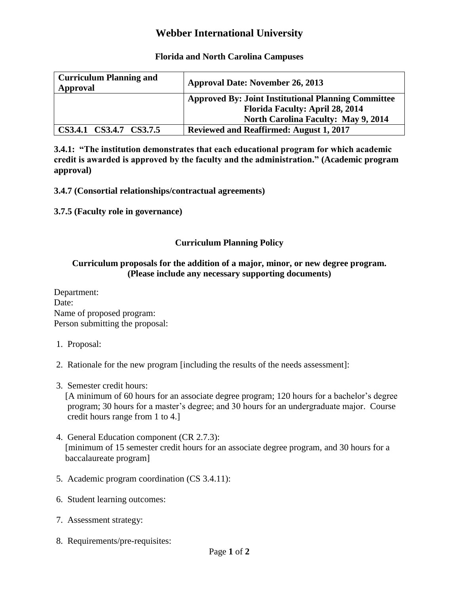# **Webber International University**

### **Florida and North Carolina Campuses**

| <b>Curriculum Planning and</b><br>Approval | <b>Approval Date: November 26, 2013</b>                                                              |
|--------------------------------------------|------------------------------------------------------------------------------------------------------|
|                                            | <b>Approved By: Joint Institutional Planning Committee</b><br><b>Florida Faculty: April 28, 2014</b> |
|                                            | <b>North Carolina Faculty: May 9, 2014</b>                                                           |
| CS3.4.1 CS3.4.7 CS3.7.5                    | <b>Reviewed and Reaffirmed: August 1, 2017</b>                                                       |

**3.4.1: "The institution demonstrates that each educational program for which academic credit is awarded is approved by the faculty and the administration." (Academic program approval)**

**3.4.7 (Consortial relationships/contractual agreements)**

**3.7.5 (Faculty role in governance)**

## **Curriculum Planning Policy**

### **Curriculum proposals for the addition of a major, minor, or new degree program. (Please include any necessary supporting documents)**

Department: Date: Name of proposed program: Person submitting the proposal:

- 1. Proposal:
- 2. Rationale for the new program [including the results of the needs assessment]:
- 3. Semester credit hours:

 [A minimum of 60 hours for an associate degree program; 120 hours for a bachelor's degree program; 30 hours for a master's degree; and 30 hours for an undergraduate major. Course credit hours range from 1 to 4.]

- 4. General Education component (CR 2.7.3): [minimum of 15 semester credit hours for an associate degree program, and 30 hours for a baccalaureate program]
- 5. Academic program coordination (CS 3.4.11):
- 6. Student learning outcomes:
- 7. Assessment strategy:
- 8. Requirements/pre-requisites: